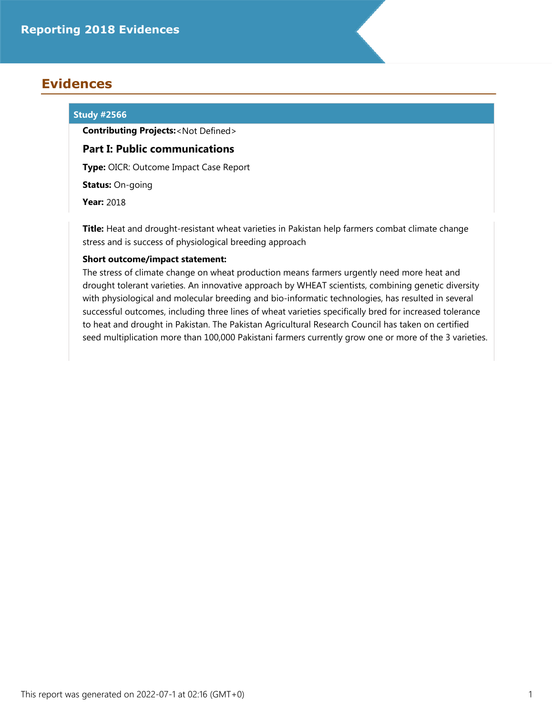# **Evidences**

# **Study #2566**

**Contributing Projects:**<Not Defined>

# **Part I: Public communications**

**Type:** OICR: Outcome Impact Case Report

**Status:** On-going

**Year:** 2018

**Title:** Heat and drought-resistant wheat varieties in Pakistan help farmers combat climate change stress and is success of physiological breeding approach

# **Short outcome/impact statement:**

The stress of climate change on wheat production means farmers urgently need more heat and drought tolerant varieties. An innovative approach by WHEAT scientists, combining genetic diversity with physiological and molecular breeding and bio-informatic technologies, has resulted in several successful outcomes, including three lines of wheat varieties specifically bred for increased tolerance to heat and drought in Pakistan. The Pakistan Agricultural Research Council has taken on certified seed multiplication more than 100,000 Pakistani farmers currently grow one or more of the 3 varieties.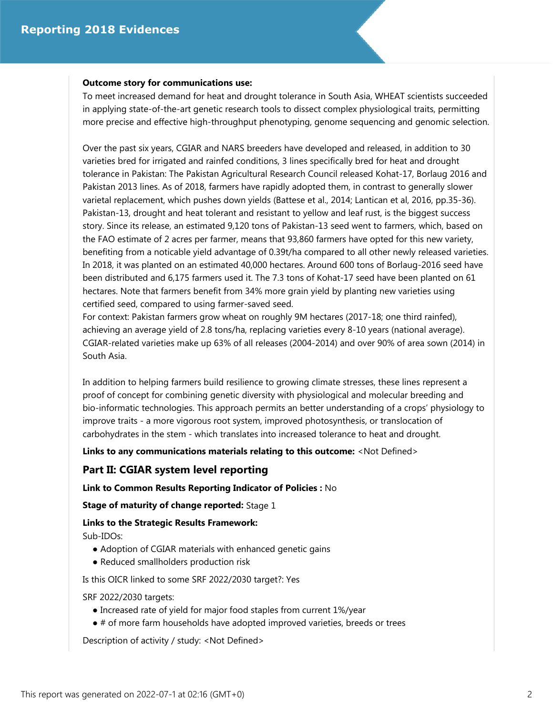#### **Outcome story for communications use:**

To meet increased demand for heat and drought tolerance in South Asia, WHEAT scientists succeeded in applying state-of-the-art genetic research tools to dissect complex physiological traits, permitting more precise and effective high-throughput phenotyping, genome sequencing and genomic selection.

Over the past six years, CGIAR and NARS breeders have developed and released, in addition to 30 varieties bred for irrigated and rainfed conditions, 3 lines specifically bred for heat and drought tolerance in Pakistan: The Pakistan Agricultural Research Council released Kohat-17, Borlaug 2016 and Pakistan 2013 lines. As of 2018, farmers have rapidly adopted them, in contrast to generally slower varietal replacement, which pushes down yields (Battese et al., 2014; Lantican et al, 2016, pp.35-36). Pakistan-13, drought and heat tolerant and resistant to yellow and leaf rust, is the biggest success story. Since its release, an estimated 9,120 tons of Pakistan-13 seed went to farmers, which, based on the FAO estimate of 2 acres per farmer, means that 93,860 farmers have opted for this new variety, benefiting from a noticable yield advantage of 0.39t/ha compared to all other newly released varieties. In 2018, it was planted on an estimated 40,000 hectares. Around 600 tons of Borlaug-2016 seed have been distributed and 6,175 farmers used it. The 7.3 tons of Kohat-17 seed have been planted on 61 hectares. Note that farmers benefit from 34% more grain yield by planting new varieties using certified seed, compared to using farmer-saved seed.

For context: Pakistan farmers grow wheat on roughly 9M hectares (2017-18; one third rainfed), achieving an average yield of 2.8 tons/ha, replacing varieties every 8-10 years (national average). CGIAR-related varieties make up 63% of all releases (2004-2014) and over 90% of area sown (2014) in South Asia.

In addition to helping farmers build resilience to growing climate stresses, these lines represent a proof of concept for combining genetic diversity with physiological and molecular breeding and bio-informatic technologies. This approach permits an better understanding of a crops' physiology to improve traits - a more vigorous root system, improved photosynthesis, or translocation of carbohydrates in the stem - which translates into increased tolerance to heat and drought.

**Links to any communications materials relating to this outcome:** <Not Defined>

# **Part II: CGIAR system level reporting**

**Link to Common Results Reporting Indicator of Policies :** No

**Stage of maturity of change reported:** Stage 1

**Links to the Strategic Results Framework:**

Sub-IDOs:

- Adoption of CGIAR materials with enhanced genetic gains
- Reduced smallholders production risk

Is this OICR linked to some SRF 2022/2030 target?: Yes

SRF 2022/2030 targets:

- Increased rate of yield for major food staples from current 1%/year
- # of more farm households have adopted improved varieties, breeds or trees

Description of activity / study: <Not Defined>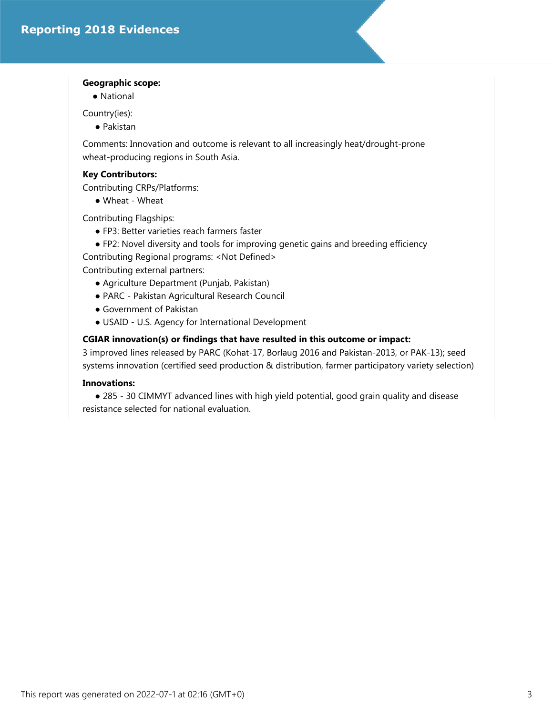### **Geographic scope:**

● National

Country(ies):

● Pakistan

Comments: Innovation and outcome is relevant to all increasingly heat/drought-prone wheat-producing regions in South Asia.

# **Key Contributors:**

Contributing CRPs/Platforms:

● Wheat - Wheat

Contributing Flagships:

- FP3: Better varieties reach farmers faster
- FP2: Novel diversity and tools for improving genetic gains and breeding efficiency

Contributing Regional programs: <Not Defined>

Contributing external partners:

- Agriculture Department (Punjab, Pakistan)
- PARC Pakistan Agricultural Research Council
- Government of Pakistan
- USAID U.S. Agency for International Development

## **CGIAR innovation(s) or findings that have resulted in this outcome or impact:**

3 improved lines released by PARC (Kohat-17, Borlaug 2016 and Pakistan-2013, or PAK-13); seed systems innovation (certified seed production & distribution, farmer participatory variety selection)

# **Innovations:**

 ● 285 - 30 CIMMYT advanced lines with high yield potential, good grain quality and disease resistance selected for national evaluation.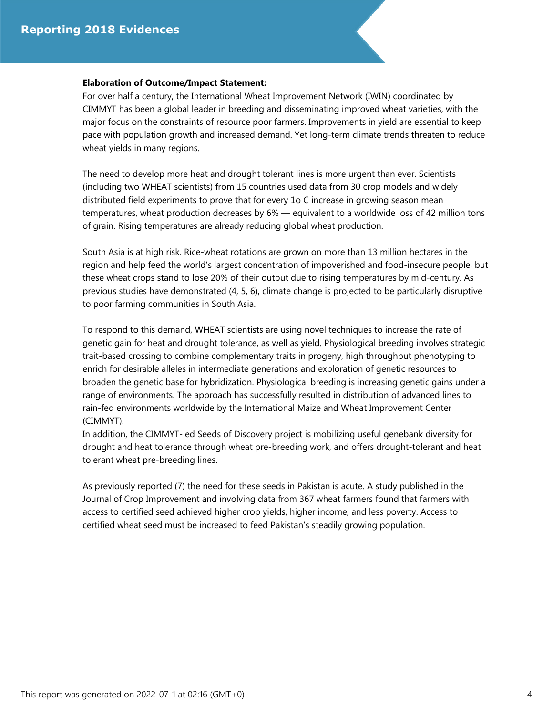#### **Elaboration of Outcome/Impact Statement:**

For over half a century, the International Wheat Improvement Network (IWIN) coordinated by CIMMYT has been a global leader in breeding and disseminating improved wheat varieties, with the major focus on the constraints of resource poor farmers. Improvements in yield are essential to keep pace with population growth and increased demand. Yet long-term climate trends threaten to reduce wheat yields in many regions.

The need to develop more heat and drought tolerant lines is more urgent than ever. Scientists (including two WHEAT scientists) from 15 countries used data from 30 crop models and widely distributed field experiments to prove that for every 1o C increase in growing season mean temperatures, wheat production decreases by 6% — equivalent to a worldwide loss of 42 million tons of grain. Rising temperatures are already reducing global wheat production.

South Asia is at high risk. Rice-wheat rotations are grown on more than 13 million hectares in the region and help feed the world's largest concentration of impoverished and food-insecure people, but these wheat crops stand to lose 20% of their output due to rising temperatures by mid-century. As previous studies have demonstrated (4, 5, 6), climate change is projected to be particularly disruptive to poor farming communities in South Asia.

To respond to this demand, WHEAT scientists are using novel techniques to increase the rate of genetic gain for heat and drought tolerance, as well as yield. Physiological breeding involves strategic trait-based crossing to combine complementary traits in progeny, high throughput phenotyping to enrich for desirable alleles in intermediate generations and exploration of genetic resources to broaden the genetic base for hybridization. Physiological breeding is increasing genetic gains under a range of environments. The approach has successfully resulted in distribution of advanced lines to rain-fed environments worldwide by the International Maize and Wheat Improvement Center (CIMMYT).

In addition, the CIMMYT-led Seeds of Discovery project is mobilizing useful genebank diversity for drought and heat tolerance through wheat pre-breeding work, and offers drought-tolerant and heat tolerant wheat pre-breeding lines.

As previously reported (7) the need for these seeds in Pakistan is acute. A study published in the Journal of Crop Improvement and involving data from 367 wheat farmers found that farmers with access to certified seed achieved higher crop yields, higher income, and less poverty. Access to certified wheat seed must be increased to feed Pakistan's steadily growing population.